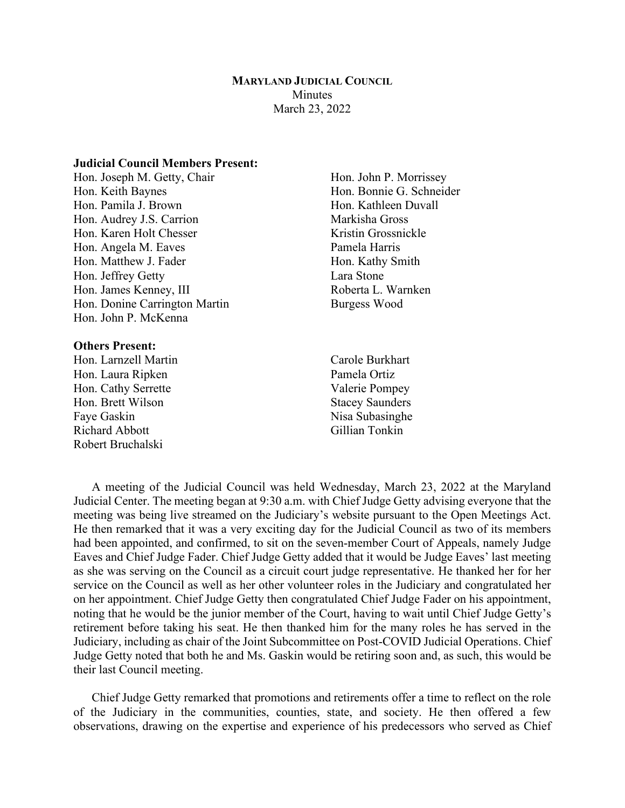### **MARYLAND JUDICIAL COUNCIL Minutes** March 23, 2022

### **Judicial Council Members Present:**

Hon. Joseph M. Getty, Chair Hon. John P. Morrissey Hon. Keith Baynes Hon. Bonnie G. Schneider Hon. Pamila J. Brown Hon. Kathleen Duvall Hon. Audrey J.S. Carrion Markisha Gross Hon. Karen Holt Chesser Kristin Grossnickle Hon. Angela M. Eaves Pamela Harris Hon. Matthew J. Fader Hon. Kathy Smith Hon. Jeffrey Getty Lara Stone Hon. James Kenney, III Roberta L. Warnken Hon. Donine Carrington Martin Burgess Wood Hon. John P. McKenna

#### **Others Present:**

- Hon. Larnzell Martin Carole Burkhart Hon. Laura Ripken Pamela Ortiz Hon. Cathy Serrette Valerie Pompey Hon. Brett Wilson Stacey Saunders Faye Gaskin Nisa Subasinghe Richard Abbott Gillian Tonkin Robert Bruchalski
- -

A meeting of the Judicial Council was held Wednesday, March 23, 2022 at the Maryland Judicial Center. The meeting began at 9:30 a.m. with Chief Judge Getty advising everyone that the meeting was being live streamed on the Judiciary's website pursuant to the Open Meetings Act. He then remarked that it was a very exciting day for the Judicial Council as two of its members had been appointed, and confirmed, to sit on the seven-member Court of Appeals, namely Judge Eaves and Chief Judge Fader. Chief Judge Getty added that it would be Judge Eaves' last meeting as she was serving on the Council as a circuit court judge representative. He thanked her for her service on the Council as well as her other volunteer roles in the Judiciary and congratulated her on her appointment. Chief Judge Getty then congratulated Chief Judge Fader on his appointment, noting that he would be the junior member of the Court, having to wait until Chief Judge Getty's retirement before taking his seat. He then thanked him for the many roles he has served in the Judiciary, including as chair of the Joint Subcommittee on Post-COVID Judicial Operations. Chief Judge Getty noted that both he and Ms. Gaskin would be retiring soon and, as such, this would be their last Council meeting.

Chief Judge Getty remarked that promotions and retirements offer a time to reflect on the role of the Judiciary in the communities, counties, state, and society. He then offered a few observations, drawing on the expertise and experience of his predecessors who served as Chief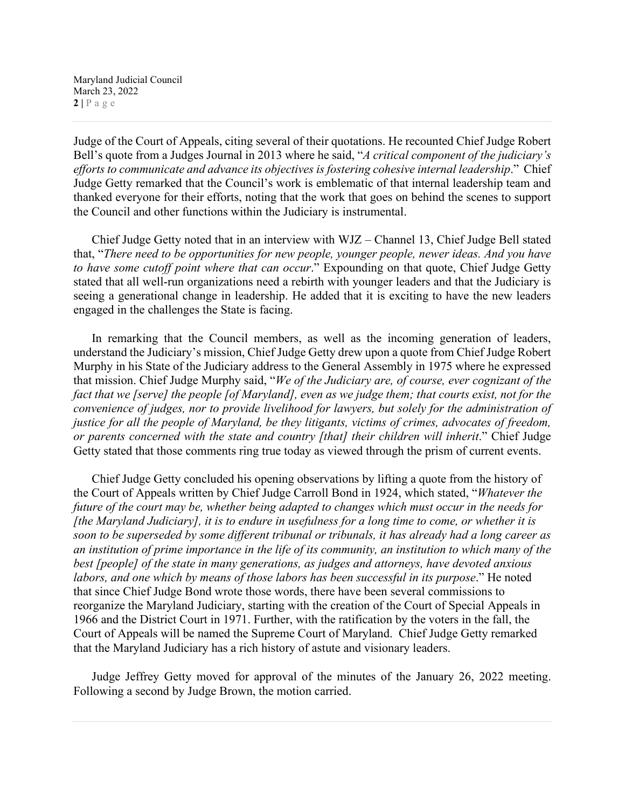Judge of the Court of Appeals, citing several of their quotations. He recounted Chief Judge Robert Bell's quote from a Judges Journal in 2013 where he said, "*A critical component of the judiciary's*  efforts to communicate and advance its objectives is fostering cohesive internal leadership." Chief Judge Getty remarked that the Council's work is emblematic of that internal leadership team and thanked everyone for their efforts, noting that the work that goes on behind the scenes to support the Council and other functions within the Judiciary is instrumental.

Chief Judge Getty noted that in an interview with WJZ – Channel 13, Chief Judge Bell stated that, "*There need to be opportunities for new people, younger people, newer ideas. And you have to have some cutoff point where that can occur*." Expounding on that quote, Chief Judge Getty stated that all well-run organizations need a rebirth with younger leaders and that the Judiciary is seeing a generational change in leadership. He added that it is exciting to have the new leaders engaged in the challenges the State is facing.

In remarking that the Council members, as well as the incoming generation of leaders, understand the Judiciary's mission, Chief Judge Getty drew upon a quote from Chief Judge Robert Murphy in his State of the Judiciary address to the General Assembly in 1975 where he expressed that mission. Chief Judge Murphy said, "*We of the Judiciary are, of course, ever cognizant of the fact that we [serve] the people [of Maryland], even as we judge them; that courts exist, not for the convenience of judges, nor to provide livelihood for lawyers, but solely for the administration of justice for all the people of Maryland, be they litigants, victims of crimes, advocates of freedom, or parents concerned with the state and country [that] their children will inherit.*" Chief Judge Getty stated that those comments ring true today as viewed through the prism of current events.

Chief Judge Getty concluded his opening observations by lifting a quote from the history of the Court of Appeals written by Chief Judge Carroll Bond in 1924, which stated, "*Whatever the future of the court may be, whether being adapted to changes which must occur in the needs for [the Maryland Judiciary], it is to endure in usefulness for a long time to come, or whether it is soon to be superseded by some different tribunal or tribunals, it has already had a long career as an institution of prime importance in the life of its community, an institution to which many of the best [people] of the state in many generations, as judges and attorneys, have devoted anxious labors, and one which by means of those labors has been successful in its purpose*." He noted that since Chief Judge Bond wrote those words, there have been several commissions to reorganize the Maryland Judiciary, starting with the creation of the Court of Special Appeals in 1966 and the District Court in 1971. Further, with the ratification by the voters in the fall, the Court of Appeals will be named the Supreme Court of Maryland. Chief Judge Getty remarked that the Maryland Judiciary has a rich history of astute and visionary leaders.

Judge Jeffrey Getty moved for approval of the minutes of the January 26, 2022 meeting. Following a second by Judge Brown, the motion carried.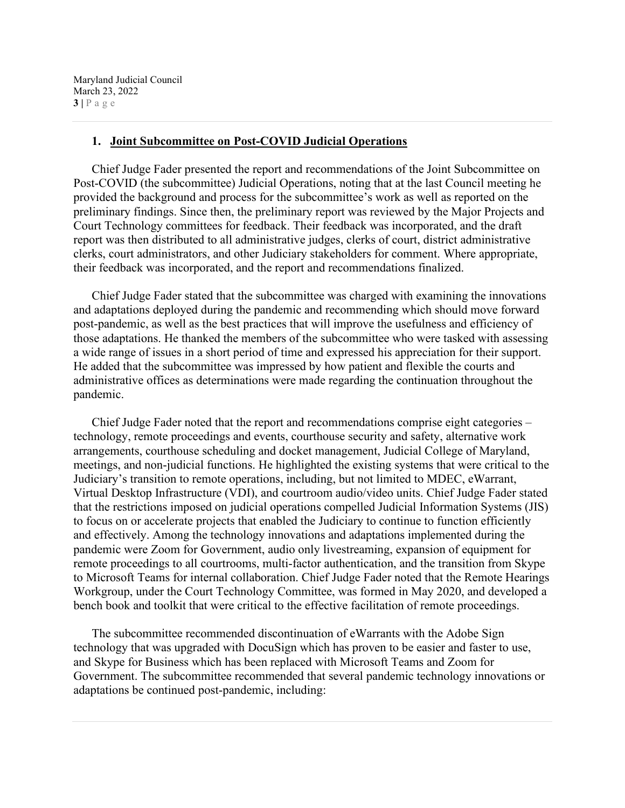Maryland Judicial Council March 23, 2022 **3 |** Page

#### **1. Joint Subcommittee on Post-COVID Judicial Operations**

Chief Judge Fader presented the report and recommendations of the Joint Subcommittee on Post-COVID (the subcommittee) Judicial Operations, noting that at the last Council meeting he provided the background and process for the subcommittee's work as well as reported on the preliminary findings. Since then, the preliminary report was reviewed by the Major Projects and Court Technology committees for feedback. Their feedback was incorporated, and the draft report was then distributed to all administrative judges, clerks of court, district administrative clerks, court administrators, and other Judiciary stakeholders for comment. Where appropriate, their feedback was incorporated, and the report and recommendations finalized.

Chief Judge Fader stated that the subcommittee was charged with examining the innovations and adaptations deployed during the pandemic and recommending which should move forward post-pandemic, as well as the best practices that will improve the usefulness and efficiency of those adaptations. He thanked the members of the subcommittee who were tasked with assessing a wide range of issues in a short period of time and expressed his appreciation for their support. He added that the subcommittee was impressed by how patient and flexible the courts and administrative offices as determinations were made regarding the continuation throughout the pandemic.

Chief Judge Fader noted that the report and recommendations comprise eight categories – technology, remote proceedings and events, courthouse security and safety, alternative work arrangements, courthouse scheduling and docket management, Judicial College of Maryland, meetings, and non-judicial functions. He highlighted the existing systems that were critical to the Judiciary's transition to remote operations, including, but not limited to MDEC, eWarrant, Virtual Desktop Infrastructure (VDI), and courtroom audio/video units. Chief Judge Fader stated that the restrictions imposed on judicial operations compelled Judicial Information Systems (JIS) to focus on or accelerate projects that enabled the Judiciary to continue to function efficiently and effectively. Among the technology innovations and adaptations implemented during the pandemic were Zoom for Government, audio only livestreaming, expansion of equipment for remote proceedings to all courtrooms, multi-factor authentication, and the transition from Skype to Microsoft Teams for internal collaboration. Chief Judge Fader noted that the Remote Hearings Workgroup, under the Court Technology Committee, was formed in May 2020, and developed a bench book and toolkit that were critical to the effective facilitation of remote proceedings.

The subcommittee recommended discontinuation of eWarrants with the Adobe Sign technology that was upgraded with DocuSign which has proven to be easier and faster to use, and Skype for Business which has been replaced with Microsoft Teams and Zoom for Government. The subcommittee recommended that several pandemic technology innovations or adaptations be continued post-pandemic, including: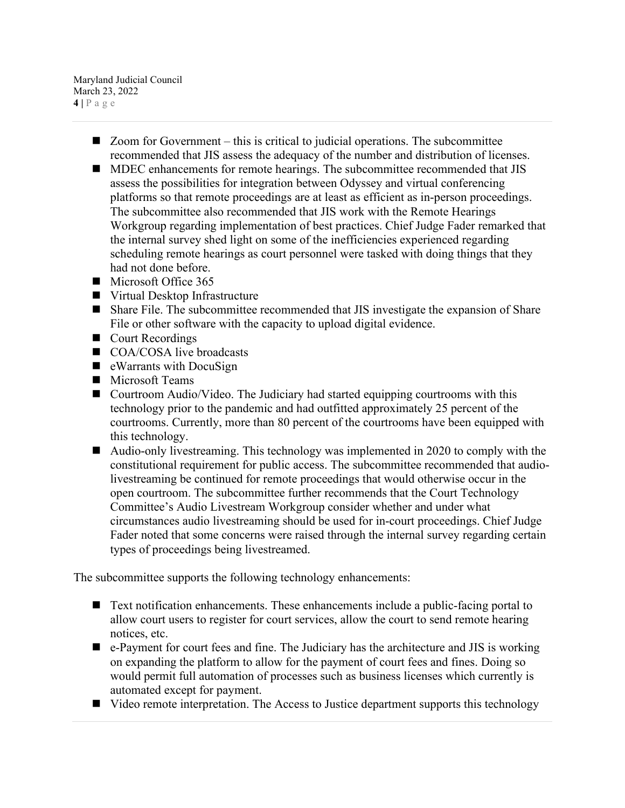Maryland Judicial Council March 23, 2022 **4 |** Page

- Zoom for Government this is critical to judicial operations. The subcommittee recommended that JIS assess the adequacy of the number and distribution of licenses.
- **MDEC** enhancements for remote hearings. The subcommittee recommended that JIS assess the possibilities for integration between Odyssey and virtual conferencing platforms so that remote proceedings are at least as efficient as in-person proceedings. The subcommittee also recommended that JIS work with the Remote Hearings Workgroup regarding implementation of best practices. Chief Judge Fader remarked that the internal survey shed light on some of the inefficiencies experienced regarding scheduling remote hearings as court personnel were tasked with doing things that they had not done before.
- Microsoft Office 365
- Virtual Desktop Infrastructure
- Share File. The subcommittee recommended that JIS investigate the expansion of Share File or other software with the capacity to upload digital evidence.
- Court Recordings
- COA/COSA live broadcasts
- eWarrants with DocuSign
- **Microsoft Teams**
- Courtroom Audio/Video. The Judiciary had started equipping courtrooms with this technology prior to the pandemic and had outfitted approximately 25 percent of the courtrooms. Currently, more than 80 percent of the courtrooms have been equipped with this technology.
- Audio-only livestreaming. This technology was implemented in 2020 to comply with the constitutional requirement for public access. The subcommittee recommended that audiolivestreaming be continued for remote proceedings that would otherwise occur in the open courtroom. The subcommittee further recommends that the Court Technology Committee's Audio Livestream Workgroup consider whether and under what circumstances audio livestreaming should be used for in-court proceedings. Chief Judge Fader noted that some concerns were raised through the internal survey regarding certain types of proceedings being livestreamed.

The subcommittee supports the following technology enhancements:

- Text notification enhancements. These enhancements include a public-facing portal to allow court users to register for court services, allow the court to send remote hearing notices, etc.
- e-Payment for court fees and fine. The Judiciary has the architecture and JIS is working on expanding the platform to allow for the payment of court fees and fines. Doing so would permit full automation of processes such as business licenses which currently is automated except for payment.
- Video remote interpretation. The Access to Justice department supports this technology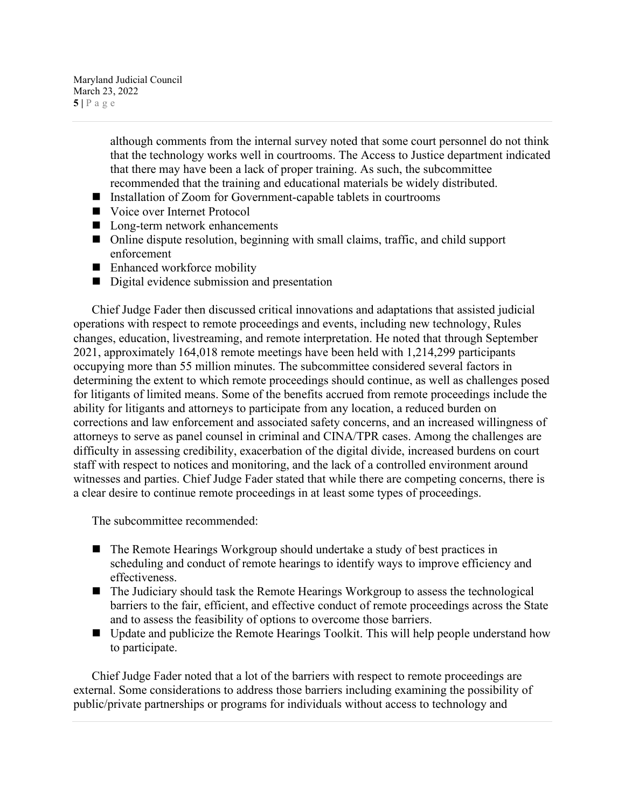Maryland Judicial Council March 23, 2022  $5|$   $P$  a g e

> although comments from the internal survey noted that some court personnel do not think that the technology works well in courtrooms. The Access to Justice department indicated that there may have been a lack of proper training. As such, the subcommittee recommended that the training and educational materials be widely distributed.

- Installation of Zoom for Government-capable tablets in courtrooms
- Voice over Internet Protocol
- Long-term network enhancements
- Online dispute resolution, beginning with small claims, traffic, and child support enforcement
- Enhanced workforce mobility
- Digital evidence submission and presentation

Chief Judge Fader then discussed critical innovations and adaptations that assisted judicial operations with respect to remote proceedings and events, including new technology, Rules changes, education, livestreaming, and remote interpretation. He noted that through September 2021, approximately 164,018 remote meetings have been held with 1,214,299 participants occupying more than 55 million minutes. The subcommittee considered several factors in determining the extent to which remote proceedings should continue, as well as challenges posed for litigants of limited means. Some of the benefits accrued from remote proceedings include the ability for litigants and attorneys to participate from any location, a reduced burden on corrections and law enforcement and associated safety concerns, and an increased willingness of attorneys to serve as panel counsel in criminal and CINA/TPR cases. Among the challenges are difficulty in assessing credibility, exacerbation of the digital divide, increased burdens on court staff with respect to notices and monitoring, and the lack of a controlled environment around witnesses and parties. Chief Judge Fader stated that while there are competing concerns, there is a clear desire to continue remote proceedings in at least some types of proceedings.

The subcommittee recommended:

- The Remote Hearings Workgroup should undertake a study of best practices in scheduling and conduct of remote hearings to identify ways to improve efficiency and effectiveness.
- The Judiciary should task the Remote Hearings Workgroup to assess the technological barriers to the fair, efficient, and effective conduct of remote proceedings across the State and to assess the feasibility of options to overcome those barriers.
- Update and publicize the Remote Hearings Toolkit. This will help people understand how to participate.

Chief Judge Fader noted that a lot of the barriers with respect to remote proceedings are external. Some considerations to address those barriers including examining the possibility of public/private partnerships or programs for individuals without access to technology and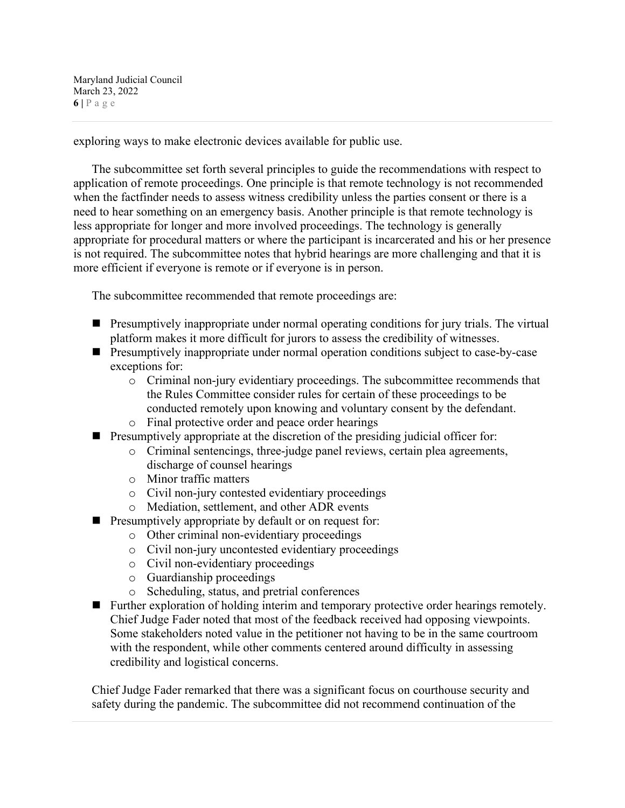Maryland Judicial Council March 23, 2022 **6 |** Page

exploring ways to make electronic devices available for public use.

The subcommittee set forth several principles to guide the recommendations with respect to application of remote proceedings. One principle is that remote technology is not recommended when the factfinder needs to assess witness credibility unless the parties consent or there is a need to hear something on an emergency basis. Another principle is that remote technology is less appropriate for longer and more involved proceedings. The technology is generally appropriate for procedural matters or where the participant is incarcerated and his or her presence is not required. The subcommittee notes that hybrid hearings are more challenging and that it is more efficient if everyone is remote or if everyone is in person.

The subcommittee recommended that remote proceedings are:

- **Presumptively inappropriate under normal operating conditions for jury trials. The virtual** platform makes it more difficult for jurors to assess the credibility of witnesses.
- **Presumptively inappropriate under normal operation conditions subject to case-by-case** exceptions for:
	- o Criminal non-jury evidentiary proceedings. The subcommittee recommends that the Rules Committee consider rules for certain of these proceedings to be conducted remotely upon knowing and voluntary consent by the defendant.
	- o Final protective order and peace order hearings
- $\blacksquare$  Presumptively appropriate at the discretion of the presiding judicial officer for:
	- o Criminal sentencings, three-judge panel reviews, certain plea agreements, discharge of counsel hearings
	- o Minor traffic matters
	- o Civil non-jury contested evidentiary proceedings
	- o Mediation, settlement, and other ADR events
- **Presumptively appropriate by default or on request for:** 
	- o Other criminal non-evidentiary proceedings
	- o Civil non-jury uncontested evidentiary proceedings
	- o Civil non-evidentiary proceedings
	- o Guardianship proceedings
	- o Scheduling, status, and pretrial conferences
- **Further exploration of holding interim and temporary protective order hearings remotely.** Chief Judge Fader noted that most of the feedback received had opposing viewpoints. Some stakeholders noted value in the petitioner not having to be in the same courtroom with the respondent, while other comments centered around difficulty in assessing credibility and logistical concerns.

Chief Judge Fader remarked that there was a significant focus on courthouse security and safety during the pandemic. The subcommittee did not recommend continuation of the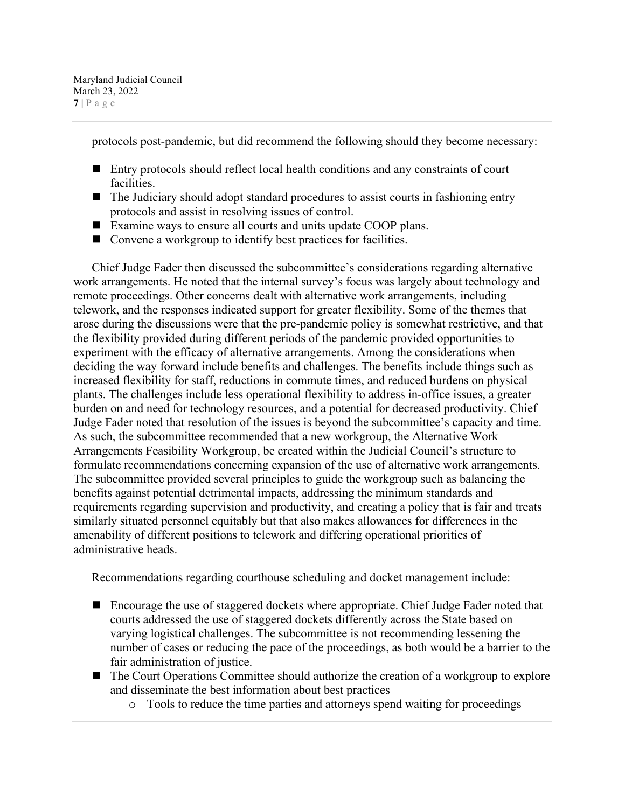Maryland Judicial Council March 23, 2022 **7 |** Page

protocols post-pandemic, but did recommend the following should they become necessary:

- Entry protocols should reflect local health conditions and any constraints of court facilities.
- The Judiciary should adopt standard procedures to assist courts in fashioning entry protocols and assist in resolving issues of control.
- Examine ways to ensure all courts and units update COOP plans.
- Convene a workgroup to identify best practices for facilities.

Chief Judge Fader then discussed the subcommittee's considerations regarding alternative work arrangements. He noted that the internal survey's focus was largely about technology and remote proceedings. Other concerns dealt with alternative work arrangements, including telework, and the responses indicated support for greater flexibility. Some of the themes that arose during the discussions were that the pre-pandemic policy is somewhat restrictive, and that the flexibility provided during different periods of the pandemic provided opportunities to experiment with the efficacy of alternative arrangements. Among the considerations when deciding the way forward include benefits and challenges. The benefits include things such as increased flexibility for staff, reductions in commute times, and reduced burdens on physical plants. The challenges include less operational flexibility to address in-office issues, a greater burden on and need for technology resources, and a potential for decreased productivity. Chief Judge Fader noted that resolution of the issues is beyond the subcommittee's capacity and time. As such, the subcommittee recommended that a new workgroup, the Alternative Work Arrangements Feasibility Workgroup, be created within the Judicial Council's structure to formulate recommendations concerning expansion of the use of alternative work arrangements. The subcommittee provided several principles to guide the workgroup such as balancing the benefits against potential detrimental impacts, addressing the minimum standards and requirements regarding supervision and productivity, and creating a policy that is fair and treats similarly situated personnel equitably but that also makes allowances for differences in the amenability of different positions to telework and differing operational priorities of administrative heads.

Recommendations regarding courthouse scheduling and docket management include:

- Encourage the use of staggered dockets where appropriate. Chief Judge Fader noted that courts addressed the use of staggered dockets differently across the State based on varying logistical challenges. The subcommittee is not recommending lessening the number of cases or reducing the pace of the proceedings, as both would be a barrier to the fair administration of justice.
- The Court Operations Committee should authorize the creation of a workgroup to explore and disseminate the best information about best practices
	- o Tools to reduce the time parties and attorneys spend waiting for proceedings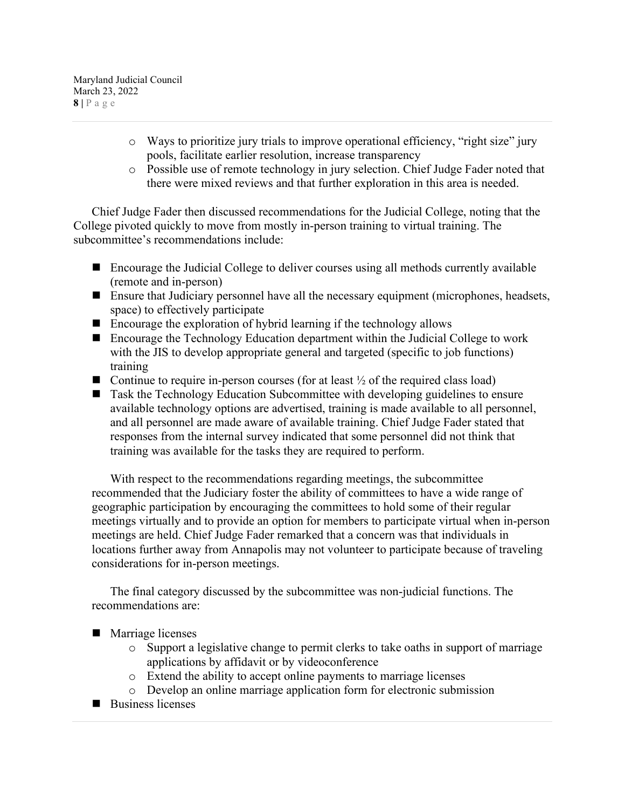Maryland Judicial Council March 23, 2022 **8 |** Page

- o Ways to prioritize jury trials to improve operational efficiency, "right size" jury pools, facilitate earlier resolution, increase transparency
- o Possible use of remote technology in jury selection. Chief Judge Fader noted that there were mixed reviews and that further exploration in this area is needed.

Chief Judge Fader then discussed recommendations for the Judicial College, noting that the College pivoted quickly to move from mostly in-person training to virtual training. The subcommittee's recommendations include:

- Encourage the Judicial College to deliver courses using all methods currently available (remote and in-person)
- Ensure that Judiciary personnel have all the necessary equipment (microphones, headsets, space) to effectively participate
- $\blacksquare$  Encourage the exploration of hybrid learning if the technology allows
- Encourage the Technology Education department within the Judicial College to work with the JIS to develop appropriate general and targeted (specific to job functions) training
- Continue to require in-person courses (for at least  $\frac{1}{2}$  of the required class load)
- Task the Technology Education Subcommittee with developing guidelines to ensure available technology options are advertised, training is made available to all personnel, and all personnel are made aware of available training. Chief Judge Fader stated that responses from the internal survey indicated that some personnel did not think that training was available for the tasks they are required to perform.

With respect to the recommendations regarding meetings, the subcommittee recommended that the Judiciary foster the ability of committees to have a wide range of geographic participation by encouraging the committees to hold some of their regular meetings virtually and to provide an option for members to participate virtual when in-person meetings are held. Chief Judge Fader remarked that a concern was that individuals in locations further away from Annapolis may not volunteer to participate because of traveling considerations for in-person meetings.

The final category discussed by the subcommittee was non-judicial functions. The recommendations are:

- **Marriage licenses** 
	- $\circ$  Support a legislative change to permit clerks to take oaths in support of marriage applications by affidavit or by videoconference
	- o Extend the ability to accept online payments to marriage licenses
	- o Develop an online marriage application form for electronic submission
- **Business licenses**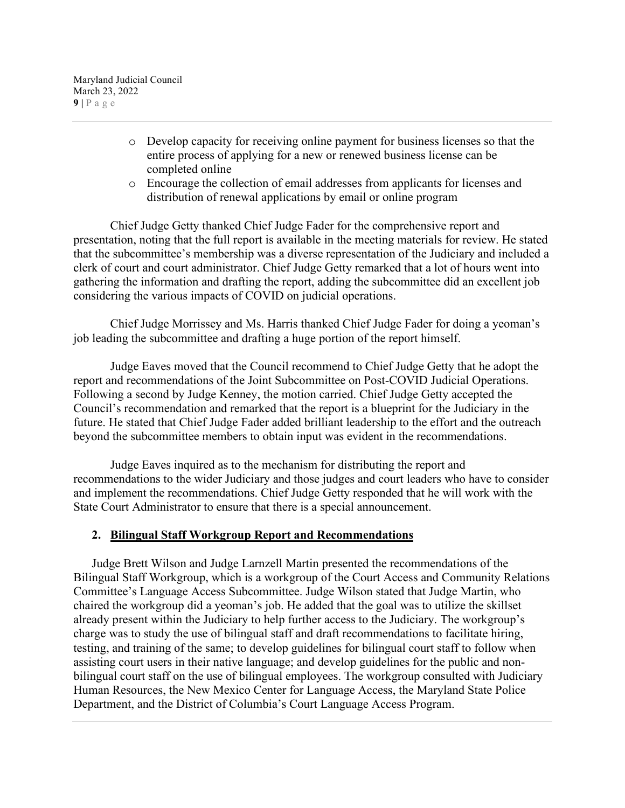Maryland Judicial Council March 23, 2022  $9$  |  $P$  a g e

- o Develop capacity for receiving online payment for business licenses so that the entire process of applying for a new or renewed business license can be completed online
- o Encourage the collection of email addresses from applicants for licenses and distribution of renewal applications by email or online program

Chief Judge Getty thanked Chief Judge Fader for the comprehensive report and presentation, noting that the full report is available in the meeting materials for review. He stated that the subcommittee's membership was a diverse representation of the Judiciary and included a clerk of court and court administrator. Chief Judge Getty remarked that a lot of hours went into gathering the information and drafting the report, adding the subcommittee did an excellent job considering the various impacts of COVID on judicial operations.

Chief Judge Morrissey and Ms. Harris thanked Chief Judge Fader for doing a yeoman's job leading the subcommittee and drafting a huge portion of the report himself.

Judge Eaves moved that the Council recommend to Chief Judge Getty that he adopt the report and recommendations of the Joint Subcommittee on Post-COVID Judicial Operations. Following a second by Judge Kenney, the motion carried. Chief Judge Getty accepted the Council's recommendation and remarked that the report is a blueprint for the Judiciary in the future. He stated that Chief Judge Fader added brilliant leadership to the effort and the outreach beyond the subcommittee members to obtain input was evident in the recommendations.

Judge Eaves inquired as to the mechanism for distributing the report and recommendations to the wider Judiciary and those judges and court leaders who have to consider and implement the recommendations. Chief Judge Getty responded that he will work with the State Court Administrator to ensure that there is a special announcement.

# **2. Bilingual Staff Workgroup Report and Recommendations**

Judge Brett Wilson and Judge Larnzell Martin presented the recommendations of the Bilingual Staff Workgroup, which is a workgroup of the Court Access and Community Relations Committee's Language Access Subcommittee. Judge Wilson stated that Judge Martin, who chaired the workgroup did a yeoman's job. He added that the goal was to utilize the skillset already present within the Judiciary to help further access to the Judiciary. The workgroup's charge was to study the use of bilingual staff and draft recommendations to facilitate hiring, testing, and training of the same; to develop guidelines for bilingual court staff to follow when assisting court users in their native language; and develop guidelines for the public and nonbilingual court staff on the use of bilingual employees. The workgroup consulted with Judiciary Human Resources, the New Mexico Center for Language Access, the Maryland State Police Department, and the District of Columbia's Court Language Access Program.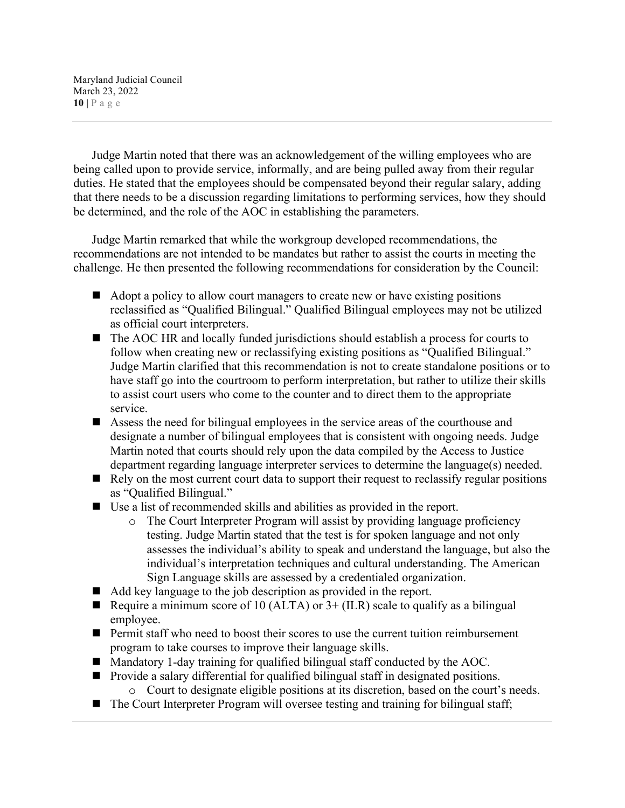Maryland Judicial Council March 23, 2022 **10 |** Page

Judge Martin noted that there was an acknowledgement of the willing employees who are being called upon to provide service, informally, and are being pulled away from their regular duties. He stated that the employees should be compensated beyond their regular salary, adding that there needs to be a discussion regarding limitations to performing services, how they should be determined, and the role of the AOC in establishing the parameters.

Judge Martin remarked that while the workgroup developed recommendations, the recommendations are not intended to be mandates but rather to assist the courts in meeting the challenge. He then presented the following recommendations for consideration by the Council:

- Adopt a policy to allow court managers to create new or have existing positions reclassified as "Qualified Bilingual." Qualified Bilingual employees may not be utilized as official court interpreters.
- The AOC HR and locally funded jurisdictions should establish a process for courts to follow when creating new or reclassifying existing positions as "Qualified Bilingual." Judge Martin clarified that this recommendation is not to create standalone positions or to have staff go into the courtroom to perform interpretation, but rather to utilize their skills to assist court users who come to the counter and to direct them to the appropriate service.
- Assess the need for bilingual employees in the service areas of the courthouse and designate a number of bilingual employees that is consistent with ongoing needs. Judge Martin noted that courts should rely upon the data compiled by the Access to Justice department regarding language interpreter services to determine the language(s) needed.
- $\blacksquare$  Rely on the most current court data to support their request to reclassify regular positions as "Qualified Bilingual."
- Use a list of recommended skills and abilities as provided in the report.
	- o The Court Interpreter Program will assist by providing language proficiency testing. Judge Martin stated that the test is for spoken language and not only assesses the individual's ability to speak and understand the language, but also the individual's interpretation techniques and cultural understanding. The American Sign Language skills are assessed by a credentialed organization.
- Add key language to the job description as provided in the report.
- Require a minimum score of 10 (ALTA) or  $3+$  (ILR) scale to qualify as a bilingual employee.
- Permit staff who need to boost their scores to use the current tuition reimbursement program to take courses to improve their language skills.
- Mandatory 1-day training for qualified bilingual staff conducted by the AOC.
- Provide a salary differential for qualified bilingual staff in designated positions. o Court to designate eligible positions at its discretion, based on the court's needs.
- The Court Interpreter Program will oversee testing and training for bilingual staff;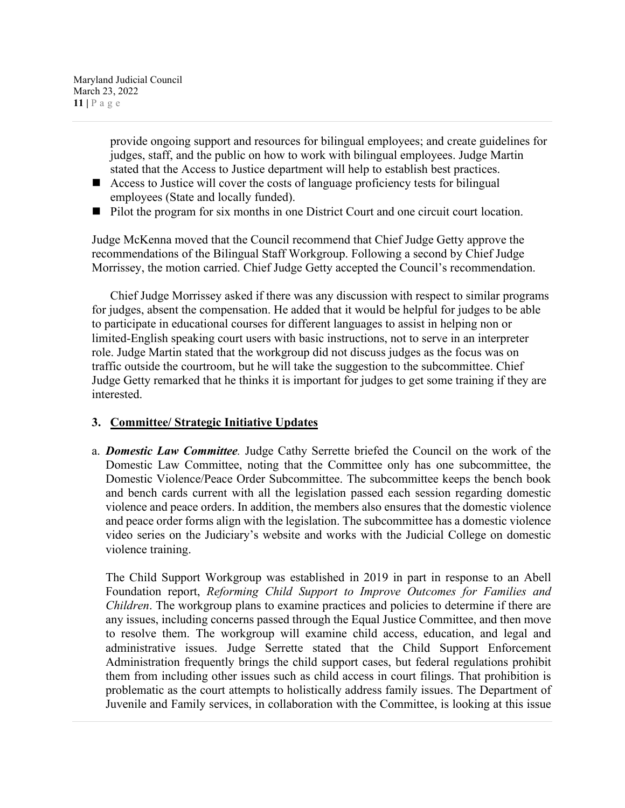Maryland Judicial Council March 23, 2022 **11 |** Page

> provide ongoing support and resources for bilingual employees; and create guidelines for judges, staff, and the public on how to work with bilingual employees. Judge Martin stated that the Access to Justice department will help to establish best practices.

- Access to Justice will cover the costs of language proficiency tests for bilingual employees (State and locally funded).
- Pilot the program for six months in one District Court and one circuit court location.

Judge McKenna moved that the Council recommend that Chief Judge Getty approve the recommendations of the Bilingual Staff Workgroup. Following a second by Chief Judge Morrissey, the motion carried. Chief Judge Getty accepted the Council's recommendation.

Chief Judge Morrissey asked if there was any discussion with respect to similar programs for judges, absent the compensation. He added that it would be helpful for judges to be able to participate in educational courses for different languages to assist in helping non or limited-English speaking court users with basic instructions, not to serve in an interpreter role. Judge Martin stated that the workgroup did not discuss judges as the focus was on traffic outside the courtroom, but he will take the suggestion to the subcommittee. Chief Judge Getty remarked that he thinks it is important for judges to get some training if they are interested.

## **3. Committee/ Strategic Initiative Updates**

a. *Domestic Law Committee.* Judge Cathy Serrette briefed the Council on the work of the Domestic Law Committee, noting that the Committee only has one subcommittee, the Domestic Violence/Peace Order Subcommittee. The subcommittee keeps the bench book and bench cards current with all the legislation passed each session regarding domestic violence and peace orders. In addition, the members also ensures that the domestic violence and peace order forms align with the legislation. The subcommittee has a domestic violence video series on the Judiciary's website and works with the Judicial College on domestic violence training.

The Child Support Workgroup was established in 2019 in part in response to an Abell Foundation report, *Reforming Child Support to Improve Outcomes for Families and Children*. The workgroup plans to examine practices and policies to determine if there are any issues, including concerns passed through the Equal Justice Committee, and then move to resolve them. The workgroup will examine child access, education, and legal and administrative issues. Judge Serrette stated that the Child Support Enforcement Administration frequently brings the child support cases, but federal regulations prohibit them from including other issues such as child access in court filings. That prohibition is problematic as the court attempts to holistically address family issues. The Department of Juvenile and Family services, in collaboration with the Committee, is looking at this issue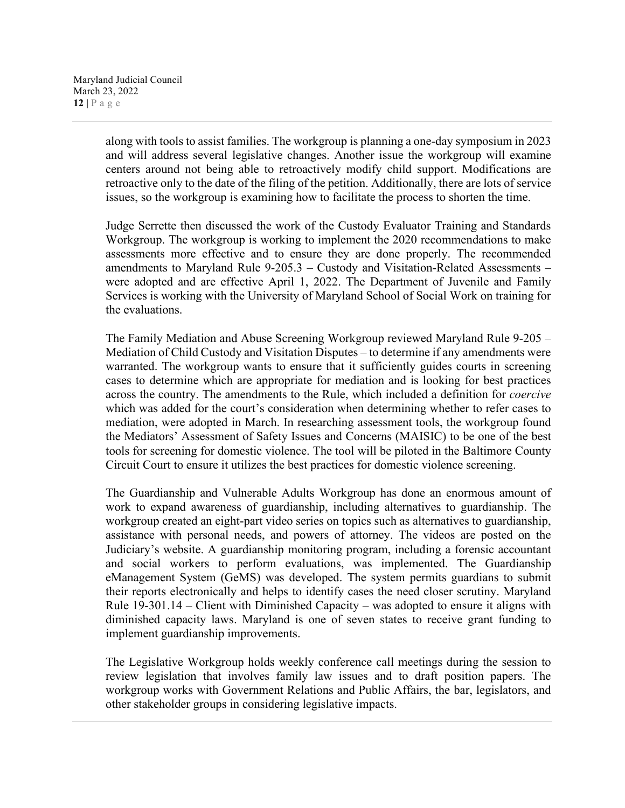along with tools to assist families. The workgroup is planning a one-day symposium in 2023 and will address several legislative changes. Another issue the workgroup will examine centers around not being able to retroactively modify child support. Modifications are retroactive only to the date of the filing of the petition. Additionally, there are lots of service issues, so the workgroup is examining how to facilitate the process to shorten the time.

Judge Serrette then discussed the work of the Custody Evaluator Training and Standards Workgroup. The workgroup is working to implement the 2020 recommendations to make assessments more effective and to ensure they are done properly. The recommended amendments to Maryland Rule 9-205.3 – Custody and Visitation-Related Assessments – were adopted and are effective April 1, 2022. The Department of Juvenile and Family Services is working with the University of Maryland School of Social Work on training for the evaluations.

The Family Mediation and Abuse Screening Workgroup reviewed Maryland Rule 9-205 – Mediation of Child Custody and Visitation Disputes – to determine if any amendments were warranted. The workgroup wants to ensure that it sufficiently guides courts in screening cases to determine which are appropriate for mediation and is looking for best practices across the country. The amendments to the Rule, which included a definition for *coercive* which was added for the court's consideration when determining whether to refer cases to mediation, were adopted in March. In researching assessment tools, the workgroup found the Mediators' Assessment of Safety Issues and Concerns (MAISIC) to be one of the best tools for screening for domestic violence. The tool will be piloted in the Baltimore County Circuit Court to ensure it utilizes the best practices for domestic violence screening.

The Guardianship and Vulnerable Adults Workgroup has done an enormous amount of work to expand awareness of guardianship, including alternatives to guardianship. The workgroup created an eight-part video series on topics such as alternatives to guardianship, assistance with personal needs, and powers of attorney. The videos are posted on the Judiciary's website. A guardianship monitoring program, including a forensic accountant and social workers to perform evaluations, was implemented. The Guardianship eManagement System (GeMS) was developed. The system permits guardians to submit their reports electronically and helps to identify cases the need closer scrutiny. Maryland Rule 19-301.14 – Client with Diminished Capacity – was adopted to ensure it aligns with diminished capacity laws. Maryland is one of seven states to receive grant funding to implement guardianship improvements.

The Legislative Workgroup holds weekly conference call meetings during the session to review legislation that involves family law issues and to draft position papers. The workgroup works with Government Relations and Public Affairs, the bar, legislators, and other stakeholder groups in considering legislative impacts.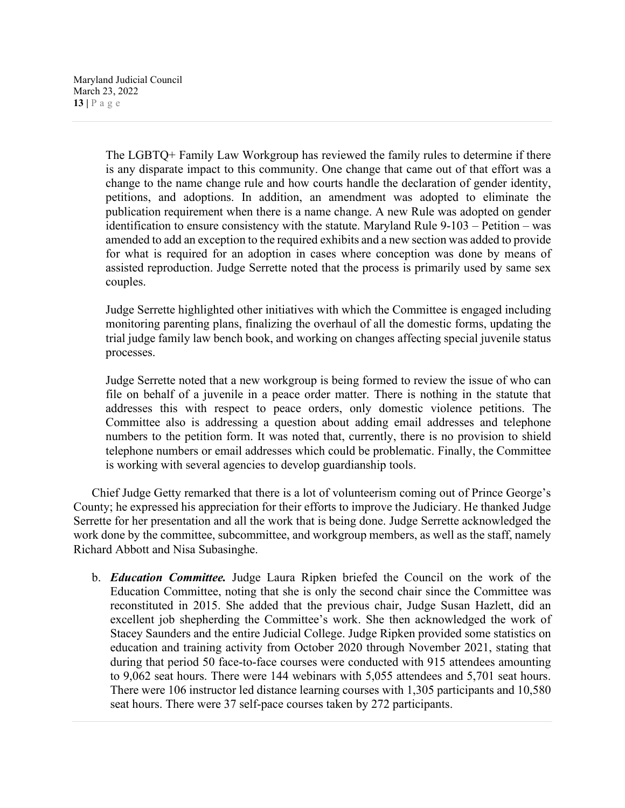The LGBTQ+ Family Law Workgroup has reviewed the family rules to determine if there is any disparate impact to this community. One change that came out of that effort was a change to the name change rule and how courts handle the declaration of gender identity, petitions, and adoptions. In addition, an amendment was adopted to eliminate the publication requirement when there is a name change. A new Rule was adopted on gender identification to ensure consistency with the statute. Maryland Rule 9-103 – Petition – was amended to add an exception to the required exhibits and a new section was added to provide for what is required for an adoption in cases where conception was done by means of assisted reproduction. Judge Serrette noted that the process is primarily used by same sex couples.

Judge Serrette highlighted other initiatives with which the Committee is engaged including monitoring parenting plans, finalizing the overhaul of all the domestic forms, updating the trial judge family law bench book, and working on changes affecting special juvenile status processes.

Judge Serrette noted that a new workgroup is being formed to review the issue of who can file on behalf of a juvenile in a peace order matter. There is nothing in the statute that addresses this with respect to peace orders, only domestic violence petitions. The Committee also is addressing a question about adding email addresses and telephone numbers to the petition form. It was noted that, currently, there is no provision to shield telephone numbers or email addresses which could be problematic. Finally, the Committee is working with several agencies to develop guardianship tools.

Chief Judge Getty remarked that there is a lot of volunteerism coming out of Prince George's County; he expressed his appreciation for their efforts to improve the Judiciary. He thanked Judge Serrette for her presentation and all the work that is being done. Judge Serrette acknowledged the work done by the committee, subcommittee, and workgroup members, as well as the staff, namely Richard Abbott and Nisa Subasinghe.

b. *Education Committee.* Judge Laura Ripken briefed the Council on the work of the Education Committee, noting that she is only the second chair since the Committee was reconstituted in 2015. She added that the previous chair, Judge Susan Hazlett, did an excellent job shepherding the Committee's work. She then acknowledged the work of Stacey Saunders and the entire Judicial College. Judge Ripken provided some statistics on education and training activity from October 2020 through November 2021, stating that during that period 50 face-to-face courses were conducted with 915 attendees amounting to 9,062 seat hours. There were 144 webinars with 5,055 attendees and 5,701 seat hours. There were 106 instructor led distance learning courses with 1,305 participants and 10,580 seat hours. There were 37 self-pace courses taken by 272 participants.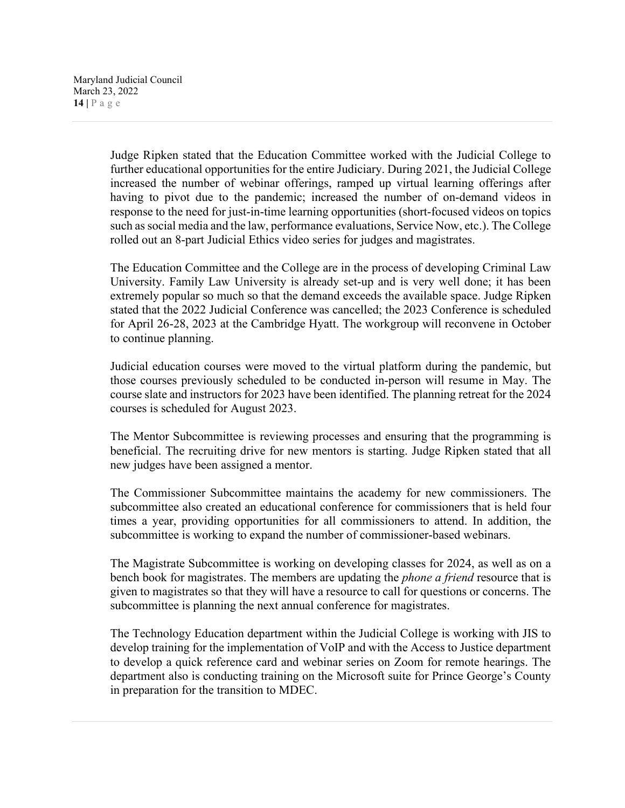Judge Ripken stated that the Education Committee worked with the Judicial College to further educational opportunities for the entire Judiciary. During 2021, the Judicial College increased the number of webinar offerings, ramped up virtual learning offerings after having to pivot due to the pandemic; increased the number of on-demand videos in response to the need for just-in-time learning opportunities (short-focused videos on topics such as social media and the law, performance evaluations, Service Now, etc.). The College rolled out an 8-part Judicial Ethics video series for judges and magistrates.

The Education Committee and the College are in the process of developing Criminal Law University. Family Law University is already set-up and is very well done; it has been extremely popular so much so that the demand exceeds the available space. Judge Ripken stated that the 2022 Judicial Conference was cancelled; the 2023 Conference is scheduled for April 26-28, 2023 at the Cambridge Hyatt. The workgroup will reconvene in October to continue planning.

Judicial education courses were moved to the virtual platform during the pandemic, but those courses previously scheduled to be conducted in-person will resume in May. The course slate and instructors for 2023 have been identified. The planning retreat for the 2024 courses is scheduled for August 2023.

The Mentor Subcommittee is reviewing processes and ensuring that the programming is beneficial. The recruiting drive for new mentors is starting. Judge Ripken stated that all new judges have been assigned a mentor.

The Commissioner Subcommittee maintains the academy for new commissioners. The subcommittee also created an educational conference for commissioners that is held four times a year, providing opportunities for all commissioners to attend. In addition, the subcommittee is working to expand the number of commissioner-based webinars.

The Magistrate Subcommittee is working on developing classes for 2024, as well as on a bench book for magistrates. The members are updating the *phone a friend* resource that is given to magistrates so that they will have a resource to call for questions or concerns. The subcommittee is planning the next annual conference for magistrates.

The Technology Education department within the Judicial College is working with JIS to develop training for the implementation of VoIP and with the Access to Justice department to develop a quick reference card and webinar series on Zoom for remote hearings. The department also is conducting training on the Microsoft suite for Prince George's County in preparation for the transition to MDEC.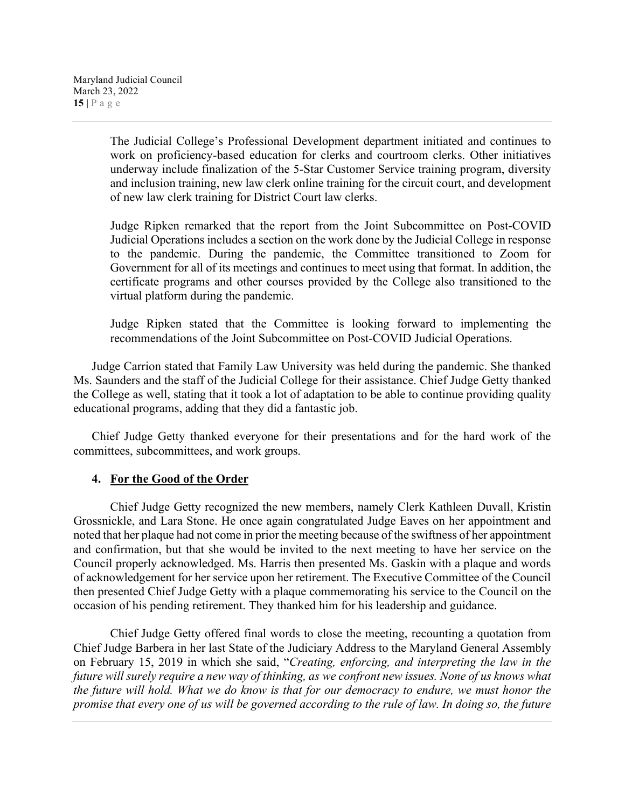The Judicial College's Professional Development department initiated and continues to work on proficiency-based education for clerks and courtroom clerks. Other initiatives underway include finalization of the 5-Star Customer Service training program, diversity and inclusion training, new law clerk online training for the circuit court, and development of new law clerk training for District Court law clerks.

Judge Ripken remarked that the report from the Joint Subcommittee on Post-COVID Judicial Operations includes a section on the work done by the Judicial College in response to the pandemic. During the pandemic, the Committee transitioned to Zoom for Government for all of its meetings and continues to meet using that format. In addition, the certificate programs and other courses provided by the College also transitioned to the virtual platform during the pandemic.

Judge Ripken stated that the Committee is looking forward to implementing the recommendations of the Joint Subcommittee on Post-COVID Judicial Operations.

Judge Carrion stated that Family Law University was held during the pandemic. She thanked Ms. Saunders and the staff of the Judicial College for their assistance. Chief Judge Getty thanked the College as well, stating that it took a lot of adaptation to be able to continue providing quality educational programs, adding that they did a fantastic job.

Chief Judge Getty thanked everyone for their presentations and for the hard work of the committees, subcommittees, and work groups.

# **4. For the Good of the Order**

Chief Judge Getty recognized the new members, namely Clerk Kathleen Duvall, Kristin Grossnickle, and Lara Stone. He once again congratulated Judge Eaves on her appointment and noted that her plaque had not come in prior the meeting because of the swiftness of her appointment and confirmation, but that she would be invited to the next meeting to have her service on the Council properly acknowledged. Ms. Harris then presented Ms. Gaskin with a plaque and words of acknowledgement for her service upon her retirement. The Executive Committee of the Council then presented Chief Judge Getty with a plaque commemorating his service to the Council on the occasion of his pending retirement. They thanked him for his leadership and guidance.

Chief Judge Getty offered final words to close the meeting, recounting a quotation from Chief Judge Barbera in her last State of the Judiciary Address to the Maryland General Assembly on February 15, 2019 in which she said, "*Creating, enforcing, and interpreting the law in the future will surely require a new way of thinking, as we confront new issues. None of us knows what the future will hold. What we do know is that for our democracy to endure, we must honor the promise that every one of us will be governed according to the rule of law. In doing so, the future*